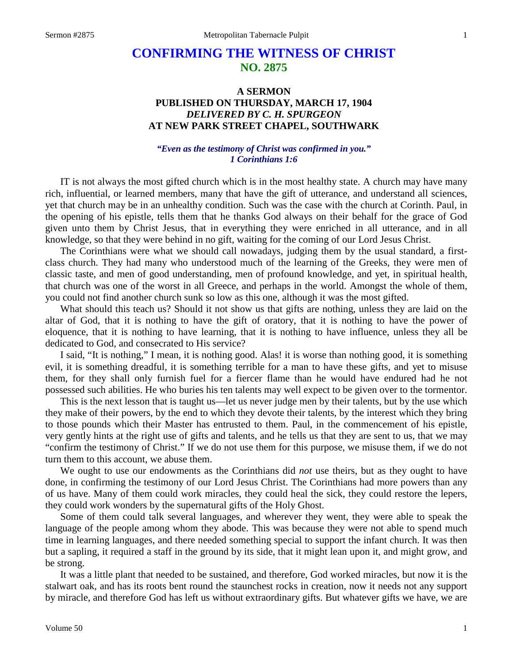# **CONFIRMING THE WITNESS OF CHRIST NO. 2875**

# **A SERMON PUBLISHED ON THURSDAY, MARCH 17, 1904** *DELIVERED BY C. H. SPURGEON* **AT NEW PARK STREET CHAPEL, SOUTHWARK**

# *"Even as the testimony of Christ was confirmed in you." 1 Corinthians 1:6*

IT is not always the most gifted church which is in the most healthy state. A church may have many rich, influential, or learned members, many that have the gift of utterance, and understand all sciences, yet that church may be in an unhealthy condition. Such was the case with the church at Corinth. Paul, in the opening of his epistle, tells them that he thanks God always on their behalf for the grace of God given unto them by Christ Jesus, that in everything they were enriched in all utterance, and in all knowledge, so that they were behind in no gift, waiting for the coming of our Lord Jesus Christ.

The Corinthians were what we should call nowadays, judging them by the usual standard, a firstclass church. They had many who understood much of the learning of the Greeks, they were men of classic taste, and men of good understanding, men of profound knowledge, and yet, in spiritual health, that church was one of the worst in all Greece, and perhaps in the world. Amongst the whole of them, you could not find another church sunk so low as this one, although it was the most gifted.

What should this teach us? Should it not show us that gifts are nothing, unless they are laid on the altar of God, that it is nothing to have the gift of oratory, that it is nothing to have the power of eloquence, that it is nothing to have learning, that it is nothing to have influence, unless they all be dedicated to God, and consecrated to His service?

I said, "It is nothing," I mean, it is nothing good. Alas! it is worse than nothing good, it is something evil, it is something dreadful, it is something terrible for a man to have these gifts, and yet to misuse them, for they shall only furnish fuel for a fiercer flame than he would have endured had he not possessed such abilities. He who buries his ten talents may well expect to be given over to the tormentor.

This is the next lesson that is taught us—let us never judge men by their talents, but by the use which they make of their powers, by the end to which they devote their talents, by the interest which they bring to those pounds which their Master has entrusted to them. Paul, in the commencement of his epistle, very gently hints at the right use of gifts and talents, and he tells us that they are sent to us, that we may "confirm the testimony of Christ." If we do not use them for this purpose, we misuse them, if we do not turn them to this account, we abuse them.

We ought to use our endowments as the Corinthians did *not* use theirs, but as they ought to have done, in confirming the testimony of our Lord Jesus Christ. The Corinthians had more powers than any of us have. Many of them could work miracles, they could heal the sick, they could restore the lepers, they could work wonders by the supernatural gifts of the Holy Ghost.

Some of them could talk several languages, and wherever they went, they were able to speak the language of the people among whom they abode. This was because they were not able to spend much time in learning languages, and there needed something special to support the infant church. It was then but a sapling, it required a staff in the ground by its side, that it might lean upon it, and might grow, and be strong.

It was a little plant that needed to be sustained, and therefore, God worked miracles, but now it is the stalwart oak, and has its roots bent round the staunchest rocks in creation, now it needs not any support by miracle, and therefore God has left us without extraordinary gifts. But whatever gifts we have, we are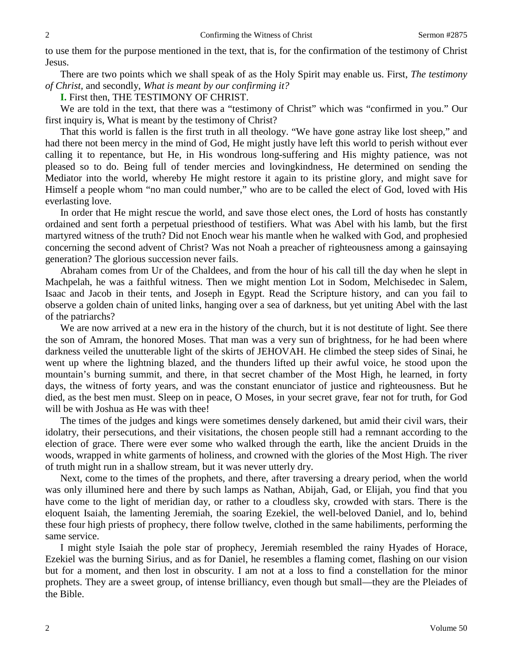to use them for the purpose mentioned in the text, that is, for the confirmation of the testimony of Christ Jesus.

There are two points which we shall speak of as the Holy Spirit may enable us. First, *The testimony of Christ,* and secondly, *What is meant by our confirming it?* 

**I.** First then, THE TESTIMONY OF CHRIST.

We are told in the text, that there was a "testimony of Christ" which was "confirmed in you." Our first inquiry is, What is meant by the testimony of Christ?

That this world is fallen is the first truth in all theology. "We have gone astray like lost sheep," and had there not been mercy in the mind of God, He might justly have left this world to perish without ever calling it to repentance, but He, in His wondrous long-suffering and His mighty patience, was not pleased so to do. Being full of tender mercies and lovingkindness, He determined on sending the Mediator into the world, whereby He might restore it again to its pristine glory, and might save for Himself a people whom "no man could number," who are to be called the elect of God, loved with His everlasting love.

In order that He might rescue the world, and save those elect ones, the Lord of hosts has constantly ordained and sent forth a perpetual priesthood of testifiers. What was Abel with his lamb, but the first martyred witness of the truth? Did not Enoch wear his mantle when he walked with God, and prophesied concerning the second advent of Christ? Was not Noah a preacher of righteousness among a gainsaying generation? The glorious succession never fails.

Abraham comes from Ur of the Chaldees, and from the hour of his call till the day when he slept in Machpelah, he was a faithful witness. Then we might mention Lot in Sodom, Melchisedec in Salem, Isaac and Jacob in their tents, and Joseph in Egypt. Read the Scripture history, and can you fail to observe a golden chain of united links, hanging over a sea of darkness, but yet uniting Abel with the last of the patriarchs?

We are now arrived at a new era in the history of the church, but it is not destitute of light. See there the son of Amram, the honored Moses. That man was a very sun of brightness, for he had been where darkness veiled the unutterable light of the skirts of JEHOVAH. He climbed the steep sides of Sinai, he went up where the lightning blazed, and the thunders lifted up their awful voice, he stood upon the mountain's burning summit, and there, in that secret chamber of the Most High, he learned, in forty days, the witness of forty years, and was the constant enunciator of justice and righteousness. But he died, as the best men must. Sleep on in peace, O Moses, in your secret grave, fear not for truth, for God will be with Joshua as He was with thee!

The times of the judges and kings were sometimes densely darkened, but amid their civil wars, their idolatry, their persecutions, and their visitations, the chosen people still had a remnant according to the election of grace. There were ever some who walked through the earth, like the ancient Druids in the woods, wrapped in white garments of holiness, and crowned with the glories of the Most High. The river of truth might run in a shallow stream, but it was never utterly dry.

Next, come to the times of the prophets, and there, after traversing a dreary period, when the world was only illumined here and there by such lamps as Nathan, Abijah, Gad, or Elijah, you find that you have come to the light of meridian day, or rather to a cloudless sky, crowded with stars. There is the eloquent Isaiah, the lamenting Jeremiah, the soaring Ezekiel, the well-beloved Daniel, and lo, behind these four high priests of prophecy, there follow twelve, clothed in the same habiliments, performing the same service.

I might style Isaiah the pole star of prophecy, Jeremiah resembled the rainy Hyades of Horace, Ezekiel was the burning Sirius, and as for Daniel, he resembles a flaming comet, flashing on our vision but for a moment, and then lost in obscurity. I am not at a loss to find a constellation for the minor prophets. They are a sweet group, of intense brilliancy, even though but small—they are the Pleiades of the Bible.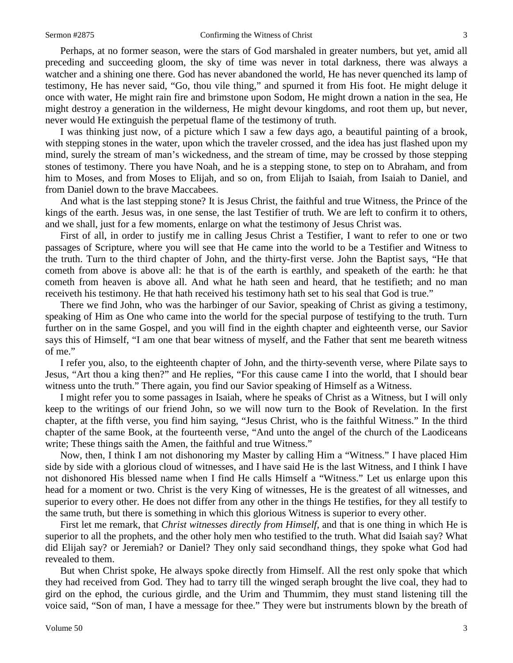Perhaps, at no former season, were the stars of God marshaled in greater numbers, but yet, amid all preceding and succeeding gloom, the sky of time was never in total darkness, there was always a watcher and a shining one there. God has never abandoned the world, He has never quenched its lamp of testimony, He has never said, "Go, thou vile thing," and spurned it from His foot. He might deluge it once with water, He might rain fire and brimstone upon Sodom, He might drown a nation in the sea, He might destroy a generation in the wilderness, He might devour kingdoms, and root them up, but never, never would He extinguish the perpetual flame of the testimony of truth.

I was thinking just now, of a picture which I saw a few days ago, a beautiful painting of a brook, with stepping stones in the water, upon which the traveler crossed, and the idea has just flashed upon my mind, surely the stream of man's wickedness, and the stream of time, may be crossed by those stepping stones of testimony. There you have Noah, and he is a stepping stone, to step on to Abraham, and from him to Moses, and from Moses to Elijah, and so on, from Elijah to Isaiah, from Isaiah to Daniel, and from Daniel down to the brave Maccabees.

And what is the last stepping stone? It is Jesus Christ, the faithful and true Witness, the Prince of the kings of the earth. Jesus was, in one sense, the last Testifier of truth. We are left to confirm it to others, and we shall, just for a few moments, enlarge on what the testimony of Jesus Christ was.

First of all, in order to justify me in calling Jesus Christ a Testifier, I want to refer to one or two passages of Scripture, where you will see that He came into the world to be a Testifier and Witness to the truth. Turn to the third chapter of John, and the thirty-first verse. John the Baptist says, "He that cometh from above is above all: he that is of the earth is earthly, and speaketh of the earth: he that cometh from heaven is above all. And what he hath seen and heard, that he testifieth; and no man receiveth his testimony. He that hath received his testimony hath set to his seal that God is true."

There we find John, who was the harbinger of our Savior, speaking of Christ as giving a testimony, speaking of Him as One who came into the world for the special purpose of testifying to the truth. Turn further on in the same Gospel, and you will find in the eighth chapter and eighteenth verse, our Savior says this of Himself, "I am one that bear witness of myself, and the Father that sent me beareth witness of me."

I refer you, also, to the eighteenth chapter of John, and the thirty-seventh verse, where Pilate says to Jesus, "Art thou a king then?" and He replies, "For this cause came I into the world, that I should bear witness unto the truth." There again, you find our Savior speaking of Himself as a Witness.

I might refer you to some passages in Isaiah, where he speaks of Christ as a Witness, but I will only keep to the writings of our friend John, so we will now turn to the Book of Revelation. In the first chapter, at the fifth verse, you find him saying, "Jesus Christ, who is the faithful Witness." In the third chapter of the same Book, at the fourteenth verse, "And unto the angel of the church of the Laodiceans write; These things saith the Amen, the faithful and true Witness."

Now, then, I think I am not dishonoring my Master by calling Him a "Witness." I have placed Him side by side with a glorious cloud of witnesses, and I have said He is the last Witness, and I think I have not dishonored His blessed name when I find He calls Himself a "Witness." Let us enlarge upon this head for a moment or two. Christ is the very King of witnesses, He is the greatest of all witnesses, and superior to every other. He does not differ from any other in the things He testifies, for they all testify to the same truth, but there is something in which this glorious Witness is superior to every other.

First let me remark, that *Christ witnesses directly from Himself,* and that is one thing in which He is superior to all the prophets, and the other holy men who testified to the truth. What did Isaiah say? What did Elijah say? or Jeremiah? or Daniel? They only said secondhand things, they spoke what God had revealed to them.

But when Christ spoke, He always spoke directly from Himself. All the rest only spoke that which they had received from God. They had to tarry till the winged seraph brought the live coal, they had to gird on the ephod, the curious girdle, and the Urim and Thummim, they must stand listening till the voice said, "Son of man, I have a message for thee." They were but instruments blown by the breath of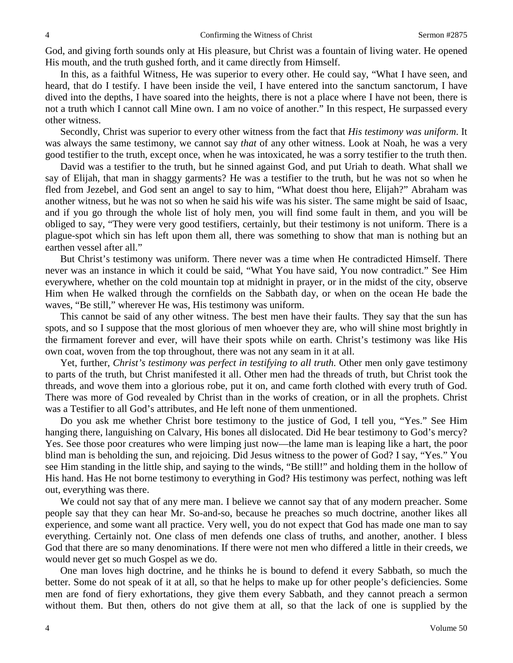God, and giving forth sounds only at His pleasure, but Christ was a fountain of living water. He opened His mouth, and the truth gushed forth, and it came directly from Himself.

In this, as a faithful Witness, He was superior to every other. He could say, "What I have seen, and heard, that do I testify. I have been inside the veil, I have entered into the sanctum sanctorum, I have dived into the depths, I have soared into the heights, there is not a place where I have not been, there is not a truth which I cannot call Mine own. I am no voice of another." In this respect, He surpassed every other witness.

Secondly, Christ was superior to every other witness from the fact that *His testimony was uniform*. It was always the same testimony, we cannot say *that* of any other witness. Look at Noah, he was a very good testifier to the truth, except once, when he was intoxicated, he was a sorry testifier to the truth then.

David was a testifier to the truth, but he sinned against God, and put Uriah to death. What shall we say of Elijah, that man in shaggy garments? He was a testifier to the truth, but he was not so when he fled from Jezebel, and God sent an angel to say to him, "What doest thou here, Elijah?" Abraham was another witness, but he was not so when he said his wife was his sister. The same might be said of Isaac, and if you go through the whole list of holy men, you will find some fault in them, and you will be obliged to say, "They were very good testifiers, certainly, but their testimony is not uniform. There is a plague-spot which sin has left upon them all, there was something to show that man is nothing but an earthen vessel after all."

But Christ's testimony was uniform. There never was a time when He contradicted Himself. There never was an instance in which it could be said, "What You have said, You now contradict." See Him everywhere, whether on the cold mountain top at midnight in prayer, or in the midst of the city, observe Him when He walked through the cornfields on the Sabbath day, or when on the ocean He bade the waves, "Be still," wherever He was, His testimony was uniform.

This cannot be said of any other witness. The best men have their faults. They say that the sun has spots, and so I suppose that the most glorious of men whoever they are, who will shine most brightly in the firmament forever and ever, will have their spots while on earth. Christ's testimony was like His own coat, woven from the top throughout, there was not any seam in it at all.

Yet, further, *Christ's testimony was perfect in testifying to all truth*. Other men only gave testimony to parts of the truth, but Christ manifested it all. Other men had the threads of truth, but Christ took the threads, and wove them into a glorious robe, put it on, and came forth clothed with every truth of God. There was more of God revealed by Christ than in the works of creation, or in all the prophets. Christ was a Testifier to all God's attributes, and He left none of them unmentioned.

Do you ask me whether Christ bore testimony to the justice of God, I tell you, "Yes." See Him hanging there, languishing on Calvary, His bones all dislocated. Did He bear testimony to God's mercy? Yes. See those poor creatures who were limping just now—the lame man is leaping like a hart, the poor blind man is beholding the sun, and rejoicing. Did Jesus witness to the power of God? I say, "Yes." You see Him standing in the little ship, and saying to the winds, "Be still!" and holding them in the hollow of His hand. Has He not borne testimony to everything in God? His testimony was perfect, nothing was left out, everything was there.

We could not say that of any mere man. I believe we cannot say that of any modern preacher. Some people say that they can hear Mr. So-and-so, because he preaches so much doctrine, another likes all experience, and some want all practice. Very well, you do not expect that God has made one man to say everything. Certainly not. One class of men defends one class of truths, and another, another. I bless God that there are so many denominations. If there were not men who differed a little in their creeds, we would never get so much Gospel as we do.

One man loves high doctrine, and he thinks he is bound to defend it every Sabbath, so much the better. Some do not speak of it at all, so that he helps to make up for other people's deficiencies. Some men are fond of fiery exhortations, they give them every Sabbath, and they cannot preach a sermon without them. But then, others do not give them at all, so that the lack of one is supplied by the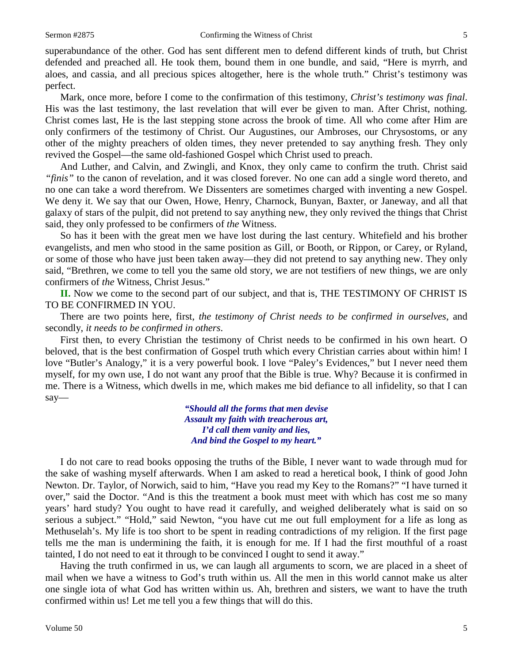superabundance of the other. God has sent different men to defend different kinds of truth, but Christ defended and preached all. He took them, bound them in one bundle, and said, "Here is myrrh, and aloes, and cassia, and all precious spices altogether, here is the whole truth." Christ's testimony was perfect.

Mark, once more, before I come to the confirmation of this testimony, *Christ's testimony was final*. His was the last testimony, the last revelation that will ever be given to man. After Christ, nothing. Christ comes last, He is the last stepping stone across the brook of time. All who come after Him are only confirmers of the testimony of Christ. Our Augustines, our Ambroses, our Chrysostoms, or any other of the mighty preachers of olden times, they never pretended to say anything fresh. They only revived the Gospel—the same old-fashioned Gospel which Christ used to preach.

And Luther, and Calvin, and Zwingli, and Knox, they only came to confirm the truth. Christ said *"finis"* to the canon of revelation, and it was closed forever. No one can add a single word thereto, and no one can take a word therefrom. We Dissenters are sometimes charged with inventing a new Gospel. We deny it. We say that our Owen, Howe, Henry, Charnock, Bunyan, Baxter, or Janeway, and all that galaxy of stars of the pulpit, did not pretend to say anything new, they only revived the things that Christ said, they only professed to be confirmers of *the* Witness.

So has it been with the great men we have lost during the last century. Whitefield and his brother evangelists, and men who stood in the same position as Gill, or Booth, or Rippon, or Carey, or Ryland, or some of those who have just been taken away—they did not pretend to say anything new. They only said, "Brethren, we come to tell you the same old story, we are not testifiers of new things, we are only confirmers of *the* Witness, Christ Jesus."

**II.** Now we come to the second part of our subject, and that is, THE TESTIMONY OF CHRIST IS TO BE CONFIRMED IN YOU.

There are two points here, first, *the testimony of Christ needs to be confirmed in ourselves,* and secondly, *it needs to be confirmed in others*.

First then, to every Christian the testimony of Christ needs to be confirmed in his own heart. O beloved, that is the best confirmation of Gospel truth which every Christian carries about within him! I love "Butler's Analogy," it is a very powerful book. I love "Paley's Evidences," but I never need them myself, for my own use, I do not want any proof that the Bible is true. Why? Because it is confirmed in me. There is a Witness, which dwells in me, which makes me bid defiance to all infidelity, so that I can say—

> *"Should all the forms that men devise Assault my faith with treacherous art, I'd call them vanity and lies, And bind the Gospel to my heart."*

I do not care to read books opposing the truths of the Bible, I never want to wade through mud for the sake of washing myself afterwards. When I am asked to read a heretical book, I think of good John Newton. Dr. Taylor, of Norwich, said to him, "Have you read my Key to the Romans?" "I have turned it over," said the Doctor. "And is this the treatment a book must meet with which has cost me so many years' hard study? You ought to have read it carefully, and weighed deliberately what is said on so serious a subject." "Hold," said Newton, "you have cut me out full employment for a life as long as Methuselah's. My life is too short to be spent in reading contradictions of my religion. If the first page tells me the man is undermining the faith, it is enough for me. If I had the first mouthful of a roast tainted, I do not need to eat it through to be convinced I ought to send it away."

Having the truth confirmed in us, we can laugh all arguments to scorn, we are placed in a sheet of mail when we have a witness to God's truth within us. All the men in this world cannot make us alter one single iota of what God has written within us. Ah, brethren and sisters, we want to have the truth confirmed within us! Let me tell you a few things that will do this.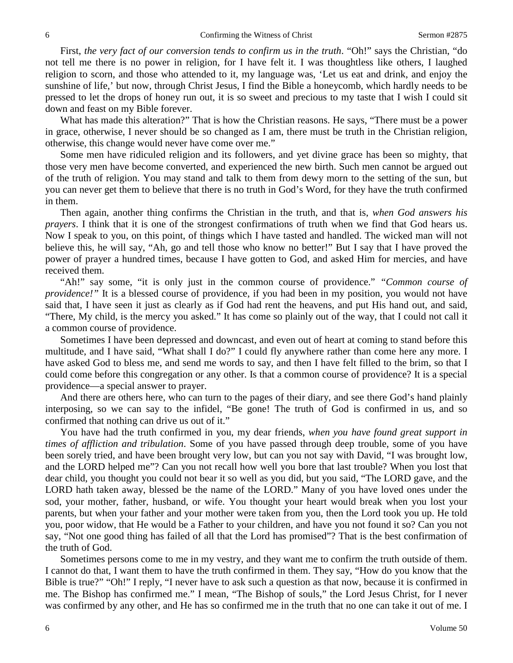First, *the very fact of our conversion tends to confirm us in the truth*. "Oh!" says the Christian, "do not tell me there is no power in religion, for I have felt it. I was thoughtless like others, I laughed religion to scorn, and those who attended to it, my language was, 'Let us eat and drink, and enjoy the sunshine of life,' but now, through Christ Jesus, I find the Bible a honeycomb, which hardly needs to be pressed to let the drops of honey run out, it is so sweet and precious to my taste that I wish I could sit down and feast on my Bible forever.

What has made this alteration?" That is how the Christian reasons. He says, "There must be a power in grace, otherwise, I never should be so changed as I am, there must be truth in the Christian religion, otherwise, this change would never have come over me."

Some men have ridiculed religion and its followers, and yet divine grace has been so mighty, that those very men have become converted, and experienced the new birth. Such men cannot be argued out of the truth of religion. You may stand and talk to them from dewy morn to the setting of the sun, but you can never get them to believe that there is no truth in God's Word, for they have the truth confirmed in them.

Then again, another thing confirms the Christian in the truth, and that is, *when God answers his prayers*. I think that it is one of the strongest confirmations of truth when we find that God hears us. Now I speak to you, on this point, of things which I have tasted and handled. The wicked man will not believe this, he will say, "Ah, go and tell those who know no better!" But I say that I have proved the power of prayer a hundred times, because I have gotten to God, and asked Him for mercies, and have received them.

"Ah!" say some, "it is only just in the common course of providence." *"Common course of providence!"* It is a blessed course of providence, if you had been in my position, you would not have said that, I have seen it just as clearly as if God had rent the heavens, and put His hand out, and said, "There, My child, is the mercy you asked." It has come so plainly out of the way, that I could not call it a common course of providence.

Sometimes I have been depressed and downcast, and even out of heart at coming to stand before this multitude, and I have said, "What shall I do?" I could fly anywhere rather than come here any more. I have asked God to bless me, and send me words to say, and then I have felt filled to the brim, so that I could come before this congregation or any other. Is that a common course of providence? It is a special providence—a special answer to prayer.

And there are others here, who can turn to the pages of their diary, and see there God's hand plainly interposing, so we can say to the infidel, "Be gone! The truth of God is confirmed in us, and so confirmed that nothing can drive us out of it."

You have had the truth confirmed in you, my dear friends, *when you have found great support in times of affliction and tribulation*. Some of you have passed through deep trouble, some of you have been sorely tried, and have been brought very low, but can you not say with David, "I was brought low, and the LORD helped me"? Can you not recall how well you bore that last trouble? When you lost that dear child, you thought you could not bear it so well as you did, but you said, "The LORD gave, and the LORD hath taken away, blessed be the name of the LORD." Many of you have loved ones under the sod, your mother, father, husband, or wife. You thought your heart would break when you lost your parents, but when your father and your mother were taken from you, then the Lord took you up. He told you, poor widow, that He would be a Father to your children, and have you not found it so? Can you not say, "Not one good thing has failed of all that the Lord has promised"? That is the best confirmation of the truth of God.

Sometimes persons come to me in my vestry, and they want me to confirm the truth outside of them. I cannot do that, I want them to have the truth confirmed in them. They say, "How do you know that the Bible is true?" "Oh!" I reply, "I never have to ask such a question as that now, because it is confirmed in me. The Bishop has confirmed me." I mean, "The Bishop of souls," the Lord Jesus Christ, for I never was confirmed by any other, and He has so confirmed me in the truth that no one can take it out of me. I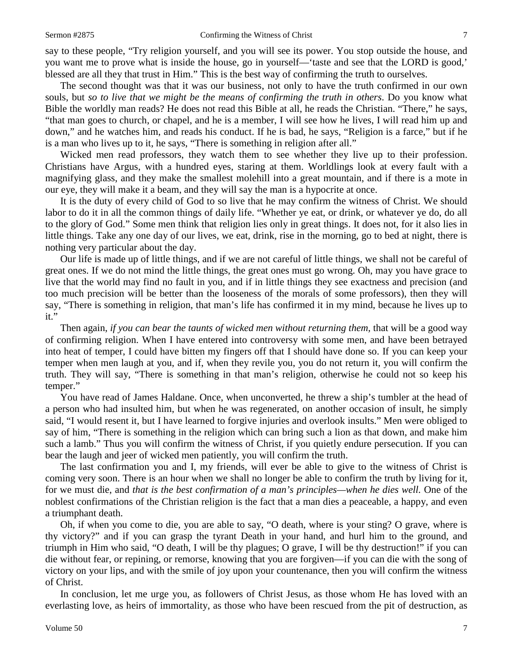say to these people, "Try religion yourself, and you will see its power. You stop outside the house, and you want me to prove what is inside the house, go in yourself—'taste and see that the LORD is good,' blessed are all they that trust in Him." This is the best way of confirming the truth to ourselves.

The second thought was that it was our business, not only to have the truth confirmed in our own souls, but *so to live that we might be the means of confirming the truth in others*. Do you know what Bible the worldly man reads? He does not read this Bible at all, he reads the Christian. "There," he says, "that man goes to church, or chapel, and he is a member, I will see how he lives, I will read him up and down," and he watches him, and reads his conduct. If he is bad, he says, "Religion is a farce," but if he is a man who lives up to it, he says, "There is something in religion after all."

Wicked men read professors, they watch them to see whether they live up to their profession. Christians have Argus, with a hundred eyes, staring at them. Worldlings look at every fault with a magnifying glass, and they make the smallest molehill into a great mountain, and if there is a mote in our eye, they will make it a beam, and they will say the man is a hypocrite at once.

It is the duty of every child of God to so live that he may confirm the witness of Christ. We should labor to do it in all the common things of daily life. "Whether ye eat, or drink, or whatever ye do, do all to the glory of God." Some men think that religion lies only in great things. It does not, for it also lies in little things. Take any one day of our lives, we eat, drink, rise in the morning, go to bed at night, there is nothing very particular about the day.

Our life is made up of little things, and if we are not careful of little things, we shall not be careful of great ones. If we do not mind the little things, the great ones must go wrong. Oh, may you have grace to live that the world may find no fault in you, and if in little things they see exactness and precision (and too much precision will be better than the looseness of the morals of some professors), then they will say, "There is something in religion, that man's life has confirmed it in my mind, because he lives up to it."

Then again, *if you can bear the taunts of wicked men without returning them,* that will be a good way of confirming religion. When I have entered into controversy with some men, and have been betrayed into heat of temper, I could have bitten my fingers off that I should have done so. If you can keep your temper when men laugh at you, and if, when they revile you, you do not return it, you will confirm the truth. They will say, "There is something in that man's religion, otherwise he could not so keep his temper."

You have read of James Haldane. Once, when unconverted, he threw a ship's tumbler at the head of a person who had insulted him, but when he was regenerated, on another occasion of insult, he simply said, "I would resent it, but I have learned to forgive injuries and overlook insults." Men were obliged to say of him, "There is something in the religion which can bring such a lion as that down, and make him such a lamb." Thus you will confirm the witness of Christ, if you quietly endure persecution. If you can bear the laugh and jeer of wicked men patiently, you will confirm the truth.

The last confirmation you and I, my friends, will ever be able to give to the witness of Christ is coming very soon. There is an hour when we shall no longer be able to confirm the truth by living for it, for we must die, and *that is the best confirmation of a man's principles—when he dies well.* One of the noblest confirmations of the Christian religion is the fact that a man dies a peaceable, a happy, and even a triumphant death.

Oh, if when you come to die, you are able to say, "O death, where is your sting? O grave, where is thy victory?" and if you can grasp the tyrant Death in your hand, and hurl him to the ground, and triumph in Him who said, "O death, I will be thy plagues; O grave, I will be thy destruction!" if you can die without fear, or repining, or remorse, knowing that you are forgiven—if you can die with the song of victory on your lips, and with the smile of joy upon your countenance, then you will confirm the witness of Christ.

In conclusion, let me urge you, as followers of Christ Jesus, as those whom He has loved with an everlasting love, as heirs of immortality, as those who have been rescued from the pit of destruction, as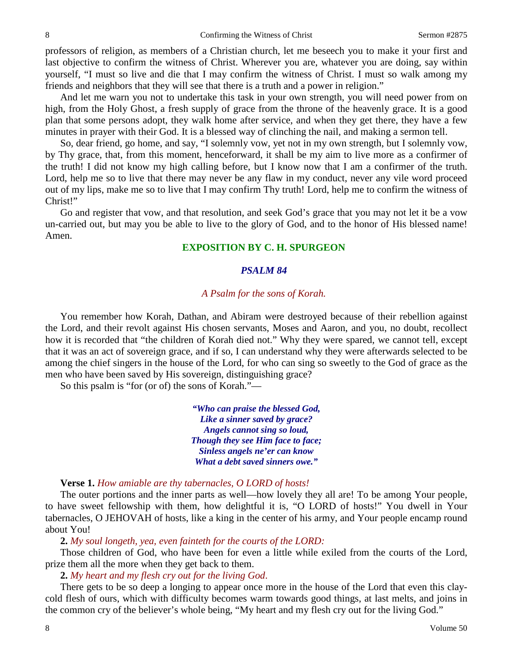professors of religion, as members of a Christian church, let me beseech you to make it your first and last objective to confirm the witness of Christ. Wherever you are, whatever you are doing, say within yourself, "I must so live and die that I may confirm the witness of Christ. I must so walk among my friends and neighbors that they will see that there is a truth and a power in religion."

And let me warn you not to undertake this task in your own strength, you will need power from on high, from the Holy Ghost, a fresh supply of grace from the throne of the heavenly grace. It is a good plan that some persons adopt, they walk home after service, and when they get there, they have a few minutes in prayer with their God. It is a blessed way of clinching the nail, and making a sermon tell.

So, dear friend, go home, and say, "I solemnly vow, yet not in my own strength, but I solemnly vow, by Thy grace, that, from this moment, henceforward, it shall be my aim to live more as a confirmer of the truth! I did not know my high calling before, but I know now that I am a confirmer of the truth. Lord, help me so to live that there may never be any flaw in my conduct, never any vile word proceed out of my lips, make me so to live that I may confirm Thy truth! Lord, help me to confirm the witness of Christ!"

Go and register that vow, and that resolution, and seek God's grace that you may not let it be a vow un-carried out, but may you be able to live to the glory of God, and to the honor of His blessed name! Amen.

## **EXPOSITION BY C. H. SPURGEON**

#### *PSALM 84*

#### *A Psalm for the sons of Korah.*

You remember how Korah, Dathan, and Abiram were destroyed because of their rebellion against the Lord, and their revolt against His chosen servants, Moses and Aaron, and you, no doubt, recollect how it is recorded that "the children of Korah died not." Why they were spared, we cannot tell, except that it was an act of sovereign grace, and if so, I can understand why they were afterwards selected to be among the chief singers in the house of the Lord, for who can sing so sweetly to the God of grace as the men who have been saved by His sovereign, distinguishing grace?

So this psalm is "for (or of) the sons of Korah."—

*"Who can praise the blessed God, Like a sinner saved by grace? Angels cannot sing so loud, Though they see Him face to face; Sinless angels ne'er can know What a debt saved sinners owe."*

**Verse 1.** *How amiable are thy tabernacles, O LORD of hosts!*

The outer portions and the inner parts as well—how lovely they all are! To be among Your people, to have sweet fellowship with them, how delightful it is, "O LORD of hosts!" You dwell in Your tabernacles, O JEHOVAH of hosts, like a king in the center of his army, and Your people encamp round about You!

**2.** *My soul longeth, yea, even fainteth for the courts of the LORD:*

Those children of God, who have been for even a little while exiled from the courts of the Lord, prize them all the more when they get back to them.

**2.** *My heart and my flesh cry out for the living God*.

There gets to be so deep a longing to appear once more in the house of the Lord that even this claycold flesh of ours, which with difficulty becomes warm towards good things, at last melts, and joins in the common cry of the believer's whole being, "My heart and my flesh cry out for the living God."